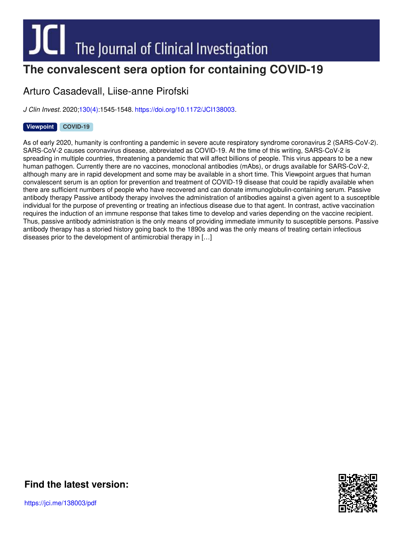# **The convalescent sera option for containing COVID-19**

## Arturo Casadevall, Liise-anne Pirofski

*J Clin Invest.* 2020[;130\(4\)](http://www.jci.org/130/4?utm_campaign=cover-page&utm_medium=pdf&utm_source=content):1545-1548. <https://doi.org/10.1172/JCI138003>.

### **[Viewpoint](http://www.jci.org/tags/111?utm_campaign=cover-page&utm_medium=pdf&utm_source=content) [COVID-19](http://www.jci.org/tags/118?utm_campaign=cover-page&utm_medium=pdf&utm_source=content)**

As of early 2020, humanity is confronting a pandemic in severe acute respiratory syndrome coronavirus 2 (SARS-CoV-2). SARS-CoV-2 causes coronavirus disease, abbreviated as COVID-19. At the time of this writing, SARS-CoV-2 is spreading in multiple countries, threatening a pandemic that will affect billions of people. This virus appears to be a new human pathogen. Currently there are no vaccines, monoclonal antibodies (mAbs), or drugs available for SARS-CoV-2, although many are in rapid development and some may be available in a short time. This Viewpoint argues that human convalescent serum is an option for prevention and treatment of COVID-19 disease that could be rapidly available when there are sufficient numbers of people who have recovered and can donate immunoglobulin-containing serum. Passive antibody therapy Passive antibody therapy involves the administration of antibodies against a given agent to a susceptible individual for the purpose of preventing or treating an infectious disease due to that agent. In contrast, active vaccination requires the induction of an immune response that takes time to develop and varies depending on the vaccine recipient. Thus, passive antibody administration is the only means of providing immediate immunity to susceptible persons. Passive antibody therapy has a storied history going back to the 1890s and was the only means of treating certain infectious diseases prior to the development of antimicrobial therapy in […]



**Find the [latest](https://jci.me/138003/pdf) version:**

https://jci.me/138003/pdf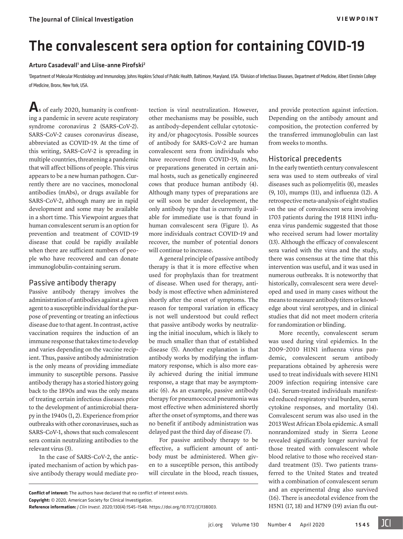## The convalescent sera option for containing COVID-19

#### Arturo Casadevall<sup>1</sup> and Liise-anne Pirofski<sup>2</sup>

'Department of Molecular Microbiology and Immunology, Johns Hopkins School of Public Health, Baltimore, Maryland, USA. <sup>2</sup>Division of Infectious Diseases, Department of Medicine, Albert Einstein College of Medicine, Bronx, New York, USA.

 $\mathbf{A}_s$  of early 2020, humanity is confronting a pandemic in severe acute respiratory syndrome coronavirus 2 (SARS-CoV-2). SARS-CoV-2 causes coronavirus disease, abbreviated as COVID-19. At the time of this writing, SARS-CoV-2 is spreading in multiple countries, threatening a pandemic that will affect billions of people. This virus appears to be a new human pathogen. Currently there are no vaccines, monoclonal antibodies (mAbs), or drugs available for SARS-CoV-2, although many are in rapid development and some may be available in a short time. This Viewpoint argues that human convalescent serum is an option for prevention and treatment of COVID-19 disease that could be rapidly available when there are sufficient numbers of people who have recovered and can donate immunoglobulin-containing serum.

#### Passive antibody therapy

Passive antibody therapy involves the administration of antibodies against a given agent to a susceptible individual for the purpose of preventing or treating an infectious disease due to that agent. In contrast, active vaccination requires the induction of an immune response that takes time to develop and varies depending on the vaccine recipient. Thus, passive antibody administration is the only means of providing immediate immunity to susceptible persons. Passive antibody therapy has a storied history going back to the 1890s and was the only means of treating certain infectious diseases prior to the development of antimicrobial therapy in the 1940s ([1](#page-4-0), [2\)](#page-4-1). Experience from prior outbreaks with other coronaviruses, such as SARS-CoV-1, shows that such convalescent sera contain neutralizing antibodies to the relevant virus ([3\)](#page-4-2).

In the case of SARS-CoV-2, the anticipated mechanism of action by which passive antibody therapy would mediate protection is viral neutralization. However, other mechanisms may be possible, such as antibody-dependent cellular cytotoxicity and/or phagocytosis. Possible sources of antibody for SARS-CoV-2 are human convalescent sera from individuals who have recovered from COVID-19, mAbs, or preparations generated in certain animal hosts, such as genetically engineered cows that produce human antibody [\(4\)](#page-4-3). Although many types of preparations are or will soon be under development, the only antibody type that is currently available for immediate use is that found in human convalescent sera [\(Figure 1\)](#page-2-0). As more individuals contract COVID-19 and recover, the number of potential donors will continue to increase.

A general principle of passive antibody therapy is that it is more effective when used for prophylaxis than for treatment of disease. When used for therapy, antibody is most effective when administered shortly after the onset of symptoms. The reason for temporal variation in efficacy is not well understood but could reflect that passive antibody works by neutralizing the initial inoculum, which is likely to be much smaller than that of established disease [\(5\)](#page-4-4). Another explanation is that antibody works by modifying the inflammatory response, which is also more easily achieved during the initial immune response, a stage that may be asymptomatic ([6\)](#page-4-5). As an example, passive antibody therapy for pneumococcal pneumonia was most effective when administered shortly after the onset of symptoms, and there was no benefit if antibody administration was delayed past the third day of disease ([7\)](#page-4-6).

For passive antibody therapy to be effective, a sufficient amount of antibody must be administered. When given to a susceptible person, this antibody will circulate in the blood, reach tissues, and provide protection against infection. Depending on the antibody amount and composition, the protection conferred by the transferred immunoglobulin can last from weeks to months.

#### Historical precedents

In the early twentieth century convalescent sera was used to stem outbreaks of viral diseases such as poliomyelitis [\(8](#page-4-7)), measles [\(9](#page-4-8), [10\)](#page-4-9), mumps ([11](#page-4-10)), and influenza [\(12](#page-4-11)). A retrospective meta-analysis of eight studies on the use of convalescent sera involving 1703 patients during the 1918 H1N1 influenza virus pandemic suggested that those who received serum had lower mortality [\(13\)](#page-4-12). Although the efficacy of convalescent sera varied with the virus and the study, there was consensus at the time that this intervention was useful, and it was used in numerous outbreaks. It is noteworthy that historically, convalescent sera were developed and used in many cases without the means to measure antibody titers or knowledge about viral serotypes, and in clinical studies that did not meet modern criteria for randomization or blinding.

More recently, convalescent serum was used during viral epidemics. In the 2009–2010 H1N1 influenza virus pandemic, convalescent serum antibody preparations obtained by apheresis were used to treat individuals with severe H1N1 2009 infection requiring intensive care [\(14](#page-4-13)). Serum-treated individuals manifested reduced respiratory viral burden, serum cytokine responses, and mortality [\(14\)](#page-4-13). Convalescent serum was also used in the 2013 West African Ebola epidemic. A small nonrandomized study in Sierra Leone revealed significantly longer survival for those treated with convalescent whole blood relative to those who received standard treatment [\(15](#page-4-14)). Two patients transferred to the United States and treated with a combination of convalescent serum and an experimental drug also survived [\(16\)](#page-4-15). There is anecdotal evidence from the H5N1 ([17,](#page-4-16) [18](#page-4-17)) and H7N9 ([19](#page-4-18)) avian flu out-

**Conflict of interest:** The authors have declared that no conflict of interest exists.

**Copyright:** © 2020, American Society for Clinical Investigation.

**Reference information:** *J Clin Invest*. 2020;130(4):1545–1548. https://doi.org[/10.1172/JCI138003.](https://doi.org/10.1172/JCI138003)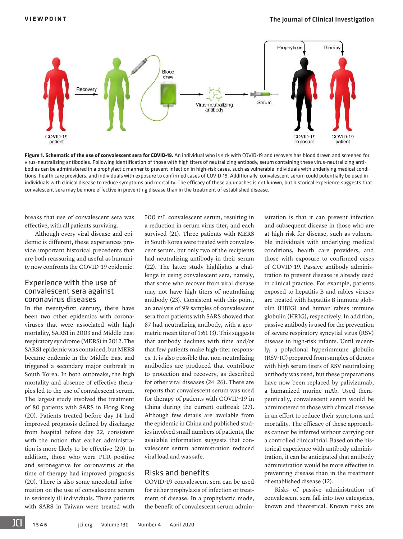<span id="page-2-0"></span>

**Figure 1. Schematic of the use of convalescent sera for COVID-19.** An individual who is sick with COVID-19 and recovers has blood drawn and screened for virus-neutralizing antibodies. Following identification of those with high titers of neutralizing antibody, serum containing these virus-neutralizing antibodies can be administered in a prophylactic manner to prevent infection in high-risk cases, such as vulnerable individuals with underlying medical conditions, health care providers, and individuals with exposure to confirmed cases of COVID-19. Additionally, convalescent serum could potentially be used in individuals with clinical disease to reduce symptoms and mortality. The efficacy of these approaches is not known, but historical experience suggests that convalescent sera may be more effective in preventing disease than in the treatment of established disease.

breaks that use of convalescent sera was effective, with all patients surviving.

Although every viral disease and epidemic is different, these experiences provide important historical precedents that are both reassuring and useful as humanity now confronts the COVID-19 epidemic.

#### Experience with the use of convalescent sera against coronavirus diseases

In the twenty-first century, there have been two other epidemics with coronaviruses that were associated with high mortality, SARS1 in 2003 and Middle East respiratory syndrome (MERS) in 2012. The SARS1 epidemic was contained, but MERS became endemic in the Middle East and triggered a secondary major outbreak in South Korea. In both outbreaks, the high mortality and absence of effective therapies led to the use of convalescent serum. The largest study involved the treatment of 80 patients with SARS in Hong Kong [\(20](#page-4-25)). Patients treated before day 14 had improved prognosis defined by discharge from hospital before day 22, consistent with the notion that earlier administration is more likely to be effective ([20\)](#page-4-25). In addition, those who were PCR positive and seronegative for coronavirus at the time of therapy had improved prognosis [\(20](#page-4-25)). There is also some anecdotal information on the use of convalescent serum in seriously ill individuals. Three patients with SARS in Taiwan were treated with 500 mL convalescent serum, resulting in a reduction in serum virus titer, and each survived ([21](#page-4-19)). Three patients with MERS in South Korea were treated with convalescent serum, but only two of the recipients had neutralizing antibody in their serum ([22](#page-4-20)). The latter study highlights a challenge in using convalescent sera, namely, that some who recover from viral disease may not have high titers of neutralizing antibody ([23\)](#page-4-21). Consistent with this point, an analysis of 99 samples of convalescent sera from patients with SARS showed that 87 had neutralizing antibody, with a geometric mean titer of 1:61 [\(3](#page-4-2)). This suggests that antibody declines with time and/or that few patients make high-titer responses. It is also possible that non-neutralizing antibodies are produced that contribute to protection and recovery, as described for other viral diseases ([24–](#page-4-22)[26\)](#page-4-23). There are reports that convalescent serum was used for therapy of patients with COVID-19 in China during the current outbreak ([27\)](#page-4-24). Although few details are available from the epidemic in China and published studies involved small numbers of patients, the available information suggests that convalescent serum administration reduced viral load and was safe.

#### Risks and benefits

COVID-19 convalescent sera can be used for either prophylaxis of infection or treatment of disease. In a prophylactic mode, the benefit of convalescent serum admin-

istration is that it can prevent infection and subsequent disease in those who are at high risk for disease, such as vulnerable individuals with underlying medical conditions, health care providers, and those with exposure to confirmed cases of COVID-19. Passive antibody administration to prevent disease is already used in clinical practice. For example, patients exposed to hepatitis B and rabies viruses are treated with hepatitis B immune globulin (HBIG) and human rabies immune globulin (HRIG), respectively. In addition, passive antibody is used for the prevention of severe respiratory syncytial virus (RSV) disease in high-risk infants. Until recently, a polyclonal hyperimmune globulin (RSV-IG) prepared from samples of donors with high serum titers of RSV neutralizing antibody was used, but these preparations have now been replaced by palivizumab, a humanized murine mAb. Used therapeutically, convalescent serum would be administered to those with clinical disease in an effort to reduce their symptoms and mortality. The efficacy of these approaches cannot be inferred without carrying out a controlled clinical trial. Based on the historical experience with antibody administration, it can be anticipated that antibody administration would be more effective in preventing disease than in the treatment of established disease ([12\)](#page-4-11).

Risks of passive administration of convalescent sera fall into two categories, known and theoretical. Known risks are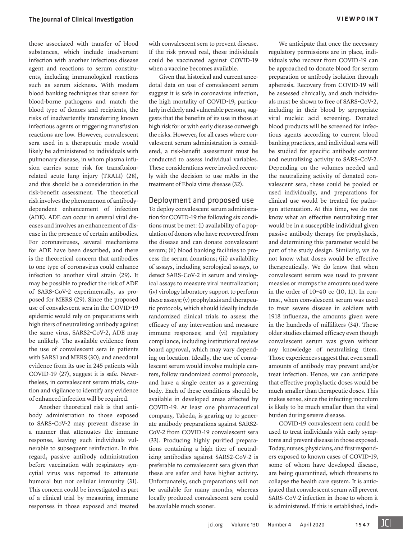those associated with transfer of blood substances, which include inadvertent infection with another infectious disease agent and reactions to serum constituents, including immunological reactions such as serum sickness. With modern blood banking techniques that screen for blood-borne pathogens and match the blood type of donors and recipients, the risks of inadvertently transferring known infectious agents or triggering transfusion reactions are low. However, convalescent sera used in a therapeutic mode would likely be administered to individuals with pulmonary disease, in whom plasma infusion carries some risk for transfusionrelated acute lung injury (TRALI) [\(28\)](#page-4-29), and this should be a consideration in the risk-benefit assessment. The theoretical risk involves the phenomenon of antibodydependent enhancement of infection (ADE). ADE can occur in several viral diseases and involves an enhancement of disease in the presence of certain antibodies. For coronaviruses, several mechanisms for ADE have been described, and there is the theoretical concern that antibodies to one type of coronavirus could enhance infection to another viral strain ([29\)](#page-4-30). It may be possible to predict the risk of ADE of SARS-CoV-2 experimentally, as proposed for MERS [\(29](#page-4-30)). Since the proposed use of convalescent sera in the COVID-19 epidemic would rely on preparations with high titers of neutralizing antibody against the same virus, SARS2-CoV-2, ADE may be unlikely. The available evidence from the use of convalescent sera in patients with SARS1 and MERS ([30\)](#page-4-31), and anecdotal evidence from its use in 245 patients with COVID-19 ([27\)](#page-4-24), suggest it is safe. Nevertheless, in convalescent serum trials, caution and vigilance to identify any evidence

Another theoretical risk is that antibody administration to those exposed to SARS-CoV-2 may prevent disease in a manner that attenuates the immune response, leaving such individuals vulnerable to subsequent reinfection. In this regard, passive antibody administration before vaccination with respiratory syncytial virus was reported to attenuate humoral but not cellular immunity ([31\)](#page-4-32). This concern could be investigated as part of a clinical trial by measuring immune responses in those exposed and treated

of enhanced infection will be required.

with convalescent sera to prevent disease. If the risk proved real, these individuals could be vaccinated against COVID-19 when a vaccine becomes available.

Given that historical and current anecdotal data on use of convalescent serum suggest it is safe in coronavirus infection, the high mortality of COVID-19, particularly in elderly and vulnerable persons, suggests that the benefits of its use in those at high risk for or with early disease outweigh the risks. However, for all cases where convalescent serum administration is considered, a risk-benefit assessment must be conducted to assess individual variables. These considerations were invoked recently with the decision to use mAbs in the treatment of Ebola virus disease ([32\)](#page-4-27).

#### Deployment and proposed use

To deploy convalescent serum administration for COVID-19 the following six conditions must be met: (i) availability of a population of donors who have recovered from the disease and can donate convalescent serum; (ii) blood banking facilities to process the serum donations; (iii) availability of assays, including serological assays, to detect SARS-CoV-2 in serum and virological assays to measure viral neutralization; (iv) virology laboratory support to perform these assays; (v) prophylaxis and therapeutic protocols, which should ideally include randomized clinical trials to assess the efficacy of any intervention and measure immune responses; and (vi) regulatory compliance, including institutional review board approval, which may vary depending on location. Ideally, the use of convalescent serum would involve multiple centers, follow randomized control protocols, and have a single center as a governing body. Each of these conditions should be available in developed areas affected by COVID-19. At least one pharmaceutical company, Takeda, is gearing up to generate antibody preparations against SARS2- CoV-2 from COVID-19 convalescent sera [\(33\)](#page-4-28). Producing highly purified preparations containing a high titer of neutralizing antibodies against SARS2-CoV-2 is preferable to convalescent sera given that these are safer and have higher activity. Unfortunately, such preparations will not be available for many months, whereas locally produced convalescent sera could be available much sooner.

We anticipate that once the necessary regulatory permissions are in place, individuals who recover from COVID-19 can be approached to donate blood for serum preparation or antibody isolation through apheresis. Recovery from COVID-19 will be assessed clinically, and such individuals must be shown to free of SARS-CoV-2, including in their blood by appropriate viral nucleic acid screening. Donated blood products will be screened for infectious agents according to current blood banking practices, and individual sera will be studied for specific antibody content and neutralizing activity to SARS-CoV-2. Depending on the volumes needed and the neutralizing activity of donated convalescent sera, these could be pooled or used individually, and preparations for clinical use would be treated for pathogen attenuation. At this time, we do not know what an effective neutralizing titer would be in a susceptible individual given passive antibody therapy for prophylaxis, and determining this parameter would be part of the study design. Similarly, we do not know what doses would be effective therapeutically. We do know that when convalescent serum was used to prevent measles or mumps the amounts used were in the order of 10–40 cc ([10](#page-4-9), [11](#page-4-10)). In contrast, when convalescent serum was used to treat severe disease in soldiers with 1918 influenza, the amounts given were in the hundreds of milliliters [\(34\)](#page-4-26). These older studies claimed efficacy even though convalescent serum was given without any knowledge of neutralizing titers. Those experiences suggest that even small amounts of antibody may prevent and/or treat infection. Hence, we can anticipate that effective prophylactic doses would be much smaller than therapeutic doses. This makes sense, since the infecting inoculum is likely to be much smaller than the viral burden during severe disease.

COVID-19 convalescent sera could be used to treat individuals with early symptoms and prevent disease in those exposed. Today, nurses, physicians, and first responders exposed to known cases of COVID-19, some of whom have developed disease, are being quarantined, which threatens to collapse the health care system. It is anticipated that convalescent serum will prevent SARS-CoV-2 infection in those to whom it is administered. If this is established, indi